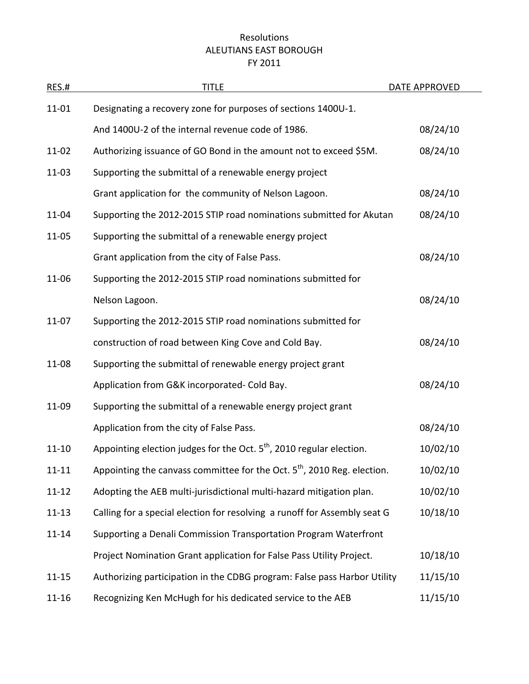## Resolutions ALEUTIANS EAST BOROUGH FY 2011

| <b>RES.#</b> | <b>TITLE</b>                                                                        | DATE APPROVED |
|--------------|-------------------------------------------------------------------------------------|---------------|
| 11-01        | Designating a recovery zone for purposes of sections 1400U-1.                       |               |
|              | And 1400U-2 of the internal revenue code of 1986.                                   | 08/24/10      |
| 11-02        | Authorizing issuance of GO Bond in the amount not to exceed \$5M.                   | 08/24/10      |
| 11-03        | Supporting the submittal of a renewable energy project                              |               |
|              | Grant application for the community of Nelson Lagoon.                               | 08/24/10      |
| 11-04        | Supporting the 2012-2015 STIP road nominations submitted for Akutan                 | 08/24/10      |
| 11-05        | Supporting the submittal of a renewable energy project                              |               |
|              | Grant application from the city of False Pass.                                      | 08/24/10      |
| 11-06        | Supporting the 2012-2015 STIP road nominations submitted for                        |               |
|              | Nelson Lagoon.                                                                      | 08/24/10      |
| $11 - 07$    | Supporting the 2012-2015 STIP road nominations submitted for                        |               |
|              | construction of road between King Cove and Cold Bay.                                | 08/24/10      |
| 11-08        | Supporting the submittal of renewable energy project grant                          |               |
|              | Application from G&K incorporated- Cold Bay.                                        | 08/24/10      |
| 11-09        | Supporting the submittal of a renewable energy project grant                        |               |
|              | Application from the city of False Pass.                                            | 08/24/10      |
| $11 - 10$    | Appointing election judges for the Oct. 5 <sup>th</sup> , 2010 regular election.    | 10/02/10      |
| $11 - 11$    | Appointing the canvass committee for the Oct. 5 <sup>th</sup> , 2010 Reg. election. | 10/02/10      |
| $11 - 12$    | Adopting the AEB multi-jurisdictional multi-hazard mitigation plan.                 | 10/02/10      |
| $11 - 13$    | Calling for a special election for resolving a runoff for Assembly seat G           | 10/18/10      |
| $11 - 14$    | Supporting a Denali Commission Transportation Program Waterfront                    |               |
|              | Project Nomination Grant application for False Pass Utility Project.                | 10/18/10      |
| $11 - 15$    | Authorizing participation in the CDBG program: False pass Harbor Utility            | 11/15/10      |
| $11 - 16$    | Recognizing Ken McHugh for his dedicated service to the AEB                         | 11/15/10      |